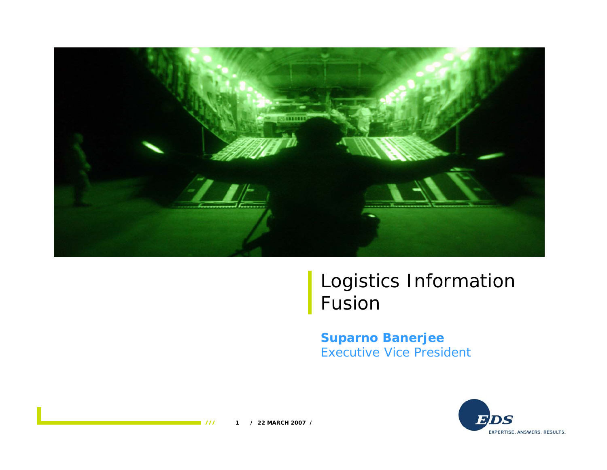

### Logistics Information Fusion

#### **Suparno Banerjee** Executive Vice President

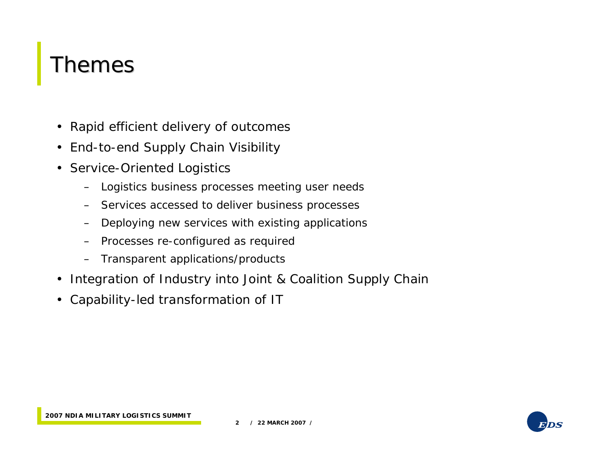### Themes

- Rapid efficient delivery of outcomes
- End-to-end Supply Chain Visibility
- Service-Oriented Logistics
	- Logistics business processes meeting user needs
	- Services accessed to deliver business processes
	- –Deploying new services with existing applications
	- –Processes re-configured as required
	- Transparent applications/products
- Integration of Industry into Joint & Coalition Supply Chain
- Capability-led transformation of IT

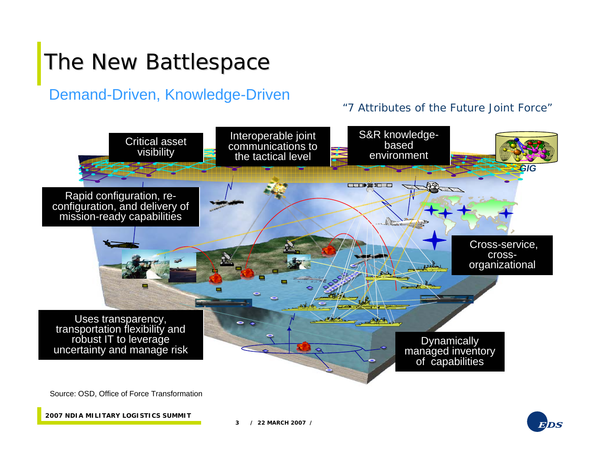# The New Battlespace

#### Demand-Driven, Knowledge-Driven

#### "7 Attributes of the Future Joint Force"



**2007 NDIA MILITARY LOGISTICS SUMMIT**

**3 / 22 MARCH 2007 /**

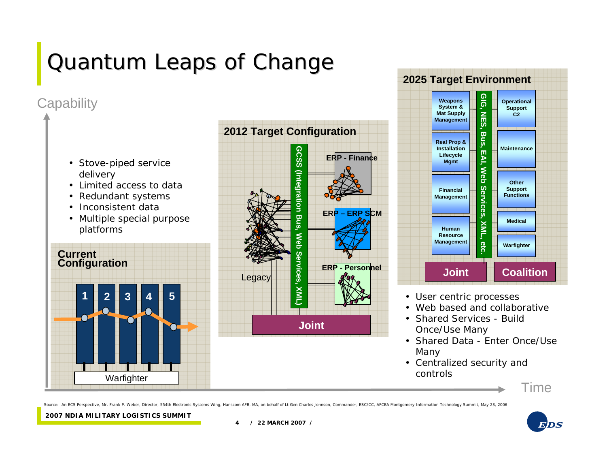# Quantum Leaps of Change

#### **Capability**



- Limited access to data
- Redundant systems
- Inconsistent data
- Multiple special purpose platforms







- 
- Web based and collaborative
- Shared Services Build Once/Use Many
- Shared Data Enter Once/Use Many
- Centralized security and controls

Time

Source: An ECS Perspective, Mr. Frank P. Weber, Director, 554th Electronic Systems Wing, Hanscom AFB, MA, on behalf of Lt Gen Charles Johnson, Commander, ESC/CC, AFCEA Montgomery Information Technology Summit, May 23, 2006

**2007 NDIA MILITARY LOGISTICS SUMMIT**



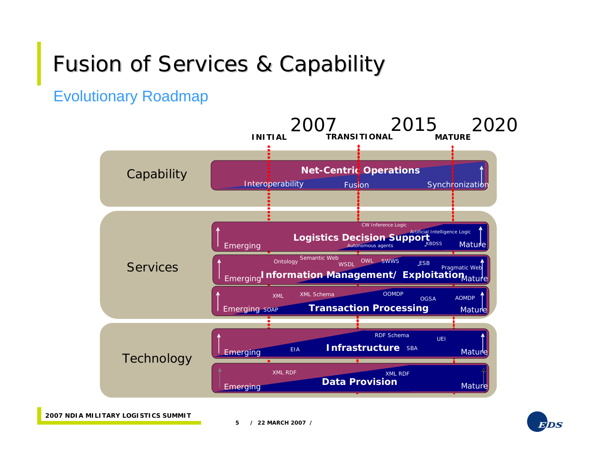## Fusion of Services & Capability

Evolutionary Roadmap



**2007 NDIA MILITARY LOGISTICS SUMMIT**

**5 / 22 MARCH 2007 /**

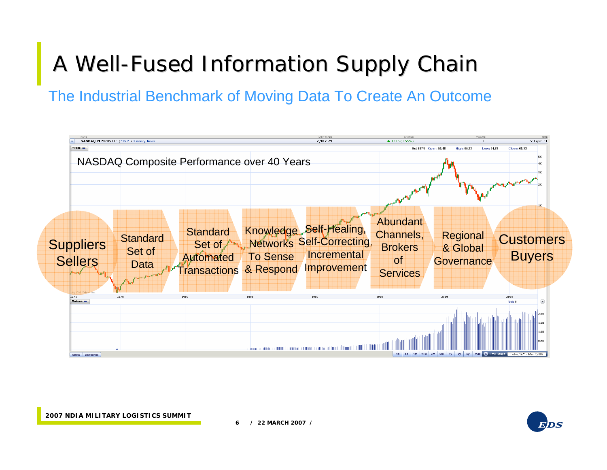# A Well-Fused Information Supply Chain

The Industrial Benchmark of Moving Data To Create An Outcome





**6 / 22 MARCH 2007 /**

**2007 NDIA MILITARY LOGISTICS SUMMIT**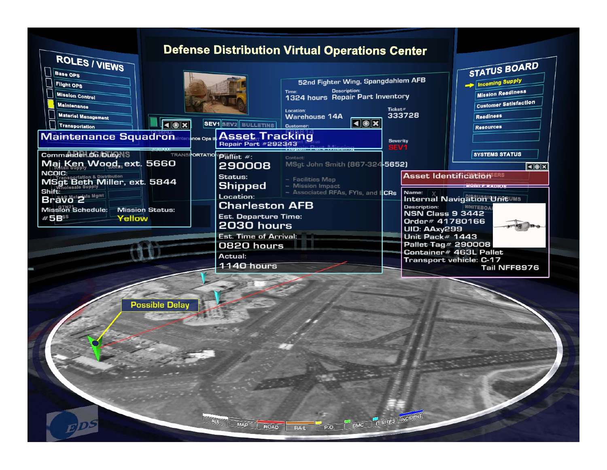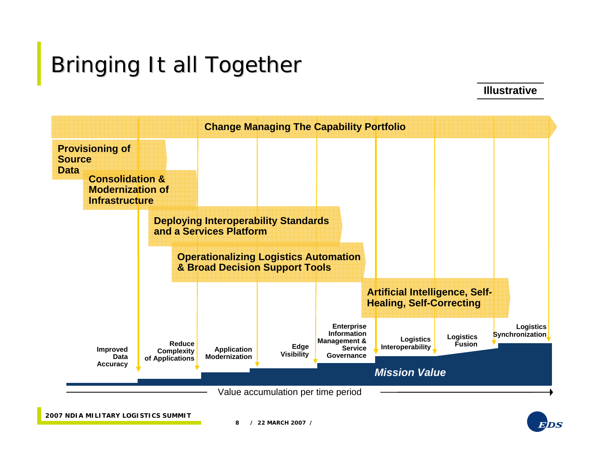# Bringing It all Together

**Illustrative**



**2007 NDIA MILITARY LOGISTICS SUMMIT**

**8 / 22 MARCH 2007 /**